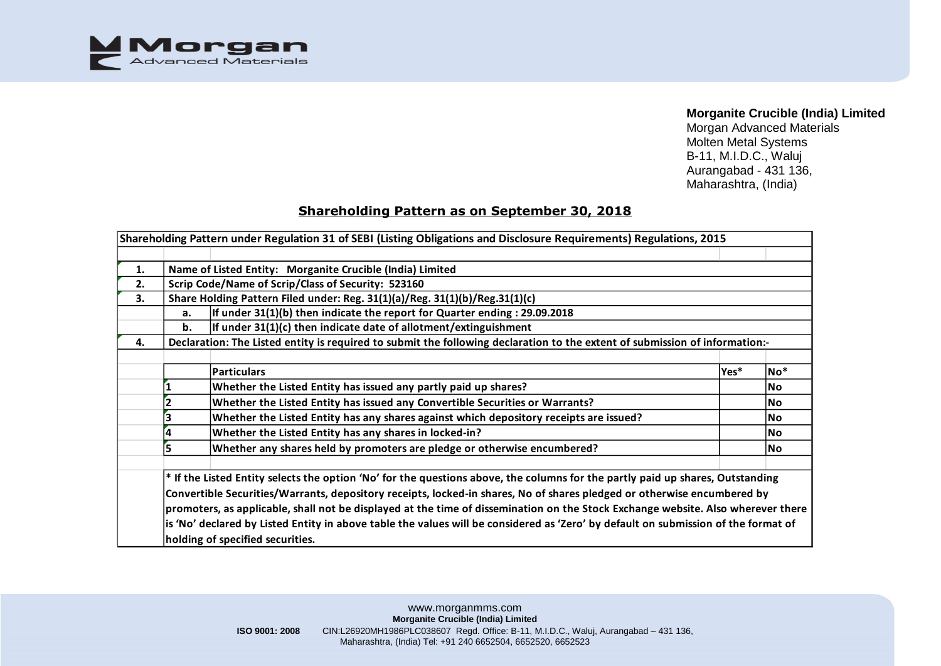

## **Morganite Crucible (India) Limited**

Morgan Advanced Materials Molten Metal Systems B-11, M.I.D.C., Waluj Aurangabad - 431 136, Maharashtra, (India)

## **Shareholding Pattern as on September 30, 2018**

|    |    | Shareholding Pattern under Regulation 31 of SEBI (Listing Obligations and Disclosure Requirements) Regulations, 2015               |      |           |  |  |  |  |  |  |  |  |  |  |  |
|----|----|------------------------------------------------------------------------------------------------------------------------------------|------|-----------|--|--|--|--|--|--|--|--|--|--|--|
|    |    |                                                                                                                                    |      |           |  |  |  |  |  |  |  |  |  |  |  |
| 1. |    | Name of Listed Entity: Morganite Crucible (India) Limited                                                                          |      |           |  |  |  |  |  |  |  |  |  |  |  |
| 2. |    | Scrip Code/Name of Scrip/Class of Security: 523160                                                                                 |      |           |  |  |  |  |  |  |  |  |  |  |  |
| 3. |    | Share Holding Pattern Filed under: Reg. 31(1)(a)/Reg. 31(1)(b)/Reg.31(1)(c)                                                        |      |           |  |  |  |  |  |  |  |  |  |  |  |
|    | a. | If under $31(1)(b)$ then indicate the report for Quarter ending : 29.09.2018                                                       |      |           |  |  |  |  |  |  |  |  |  |  |  |
|    | b. | If under $31(1)(c)$ then indicate date of allotment/extinguishment                                                                 |      |           |  |  |  |  |  |  |  |  |  |  |  |
| 4. |    | Declaration: The Listed entity is required to submit the following declaration to the extent of submission of information:-        |      |           |  |  |  |  |  |  |  |  |  |  |  |
|    |    |                                                                                                                                    |      |           |  |  |  |  |  |  |  |  |  |  |  |
|    |    | <b>Particulars</b>                                                                                                                 | Yes* | $No*$     |  |  |  |  |  |  |  |  |  |  |  |
|    |    | Whether the Listed Entity has issued any partly paid up shares?                                                                    |      | <b>No</b> |  |  |  |  |  |  |  |  |  |  |  |
|    |    | Whether the Listed Entity has issued any Convertible Securities or Warrants?                                                       |      |           |  |  |  |  |  |  |  |  |  |  |  |
|    |    | Whether the Listed Entity has any shares against which depository receipts are issued?                                             |      | <b>No</b> |  |  |  |  |  |  |  |  |  |  |  |
|    |    | Whether the Listed Entity has any shares in locked-in?                                                                             |      | No.       |  |  |  |  |  |  |  |  |  |  |  |
|    |    | Whether any shares held by promoters are pledge or otherwise encumbered?                                                           |      | <b>No</b> |  |  |  |  |  |  |  |  |  |  |  |
|    |    |                                                                                                                                    |      |           |  |  |  |  |  |  |  |  |  |  |  |
|    |    | * If the Listed Entity selects the option 'No' for the questions above, the columns for the partly paid up shares, Outstanding     |      |           |  |  |  |  |  |  |  |  |  |  |  |
|    |    | Convertible Securities/Warrants, depository receipts, locked-in shares, No of shares pledged or otherwise encumbered by            |      |           |  |  |  |  |  |  |  |  |  |  |  |
|    |    | promoters, as applicable, shall not be displayed at the time of dissemination on the Stock Exchange website. Also wherever there   |      |           |  |  |  |  |  |  |  |  |  |  |  |
|    |    | is 'No' declared by Listed Entity in above table the values will be considered as 'Zero' by default on submission of the format of |      |           |  |  |  |  |  |  |  |  |  |  |  |
|    |    | holding of specified securities.                                                                                                   |      |           |  |  |  |  |  |  |  |  |  |  |  |

www.morganmms.com **Morganite Crucible (India) Limited ISO 9001: 2008** CIN:L26920MH1986PLC038607 Regd. Office: B-11, M.I.D.C., Waluj, Aurangabad – 431 136, Maharashtra, (India) Tel: +91 240 6652504, 6652520, 6652523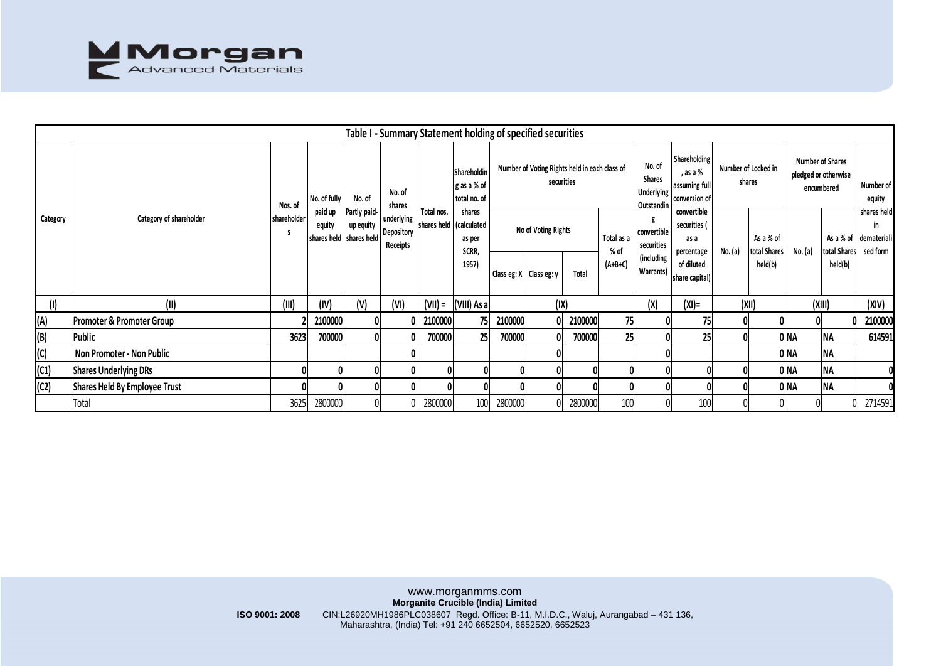

|          |                                      |                  |                   |                                                        |                                      | Table I - Summary Statement holding of specified securities |                                                                                                               |                                                             |                               |         |           |                                                            |                                                                   |                               |                           |                                                               |                           |                                              |
|----------|--------------------------------------|------------------|-------------------|--------------------------------------------------------|--------------------------------------|-------------------------------------------------------------|---------------------------------------------------------------------------------------------------------------|-------------------------------------------------------------|-------------------------------|---------|-----------|------------------------------------------------------------|-------------------------------------------------------------------|-------------------------------|---------------------------|---------------------------------------------------------------|---------------------------|----------------------------------------------|
| Category |                                      | Nos. of          | No. of fully      | No. of                                                 | No. of<br>shares                     |                                                             | Shareholdin<br>g as a % of<br>total no. of<br>shares<br>shares held   (calculated<br>as per<br>SCRR,<br>1957) | Number of Voting Rights held in each class of<br>securities |                               |         |           | No. of<br><b>Shares</b><br><b>Underlying</b><br>Outstandin | <b>Shareholding</b><br>, as a %<br>assuming full<br>conversion of | Number of Locked in<br>shares |                           | <b>Number of Shares</b><br>pledged or otherwise<br>encumbered |                           | Number of<br>equity                          |
|          | Category of shareholder              | shareholder<br>s | paid up<br>equity | Partly paid-<br>up equity<br>shares held   shares held | underlying<br>Depository<br>Receipts | Total nos.                                                  |                                                                                                               | No of Voting Rights<br>Total as a<br>$%$ of                 |                               |         |           | convertible<br>securities<br>(including                    | convertible<br>securities (<br>as a<br>percentage                 | No. (a)                       | As a % of<br>total Shares | No. (a)                                                       | As a % of<br>total Shares | shares held<br>in<br>demateriali<br>sed form |
|          |                                      |                  |                   |                                                        |                                      |                                                             |                                                                                                               |                                                             | Class eg: $X$   Class eg: $y$ | Total   | $(A+B+C)$ | Warrants)                                                  | of diluted<br>share capital)                                      |                               | held(b)                   |                                                               | held(b)                   |                                              |
| $($ l    | (II)                                 | (III)            | (IV)              | (V)                                                    | (VI)                                 | (VII) =                                                     | (VIII) As a                                                                                                   |                                                             |                               | (IX)    |           | (X)                                                        | $(XI) =$                                                          | (XII)                         |                           | (XIII)                                                        |                           | (XIV)                                        |
| (A)      | <b>Promoter &amp; Promoter Group</b> |                  | 2100000           |                                                        |                                      | 2100000                                                     | 75                                                                                                            | 2100000                                                     |                               | 2100000 | 75        |                                                            | 75                                                                |                               |                           |                                                               |                           | 2100000                                      |
| (B)      | Public                               | 3623             | 700000            |                                                        |                                      | 700000                                                      | 25 <sub>1</sub>                                                                                               | 700000                                                      |                               | 700000  | 25        |                                                            | 25                                                                |                               |                           | 0 NA                                                          | <b>NA</b>                 | 614591                                       |
| (C)      | Non Promoter - Non Public            |                  |                   |                                                        |                                      |                                                             |                                                                                                               |                                                             |                               |         |           |                                                            |                                                                   |                               |                           | 0 NA                                                          | <b>NA</b>                 |                                              |
| (C1)     | <b>Shares Underlying DRs</b>         |                  |                   |                                                        |                                      |                                                             |                                                                                                               |                                                             |                               |         |           |                                                            |                                                                   |                               |                           | 0 NA                                                          | <b>NA</b>                 |                                              |
| (C2)     | Shares Held By Employee Trust        |                  |                   |                                                        |                                      |                                                             |                                                                                                               |                                                             |                               |         |           |                                                            |                                                                   |                               |                           | 0 <sub>NA</sub>                                               | <b>NA</b>                 |                                              |
|          | Total                                | 3625             | 2800000           |                                                        |                                      | 2800000                                                     | 100                                                                                                           | 2800000                                                     |                               | 2800000 | 100       |                                                            | 100                                                               |                               |                           |                                                               |                           | 2714591                                      |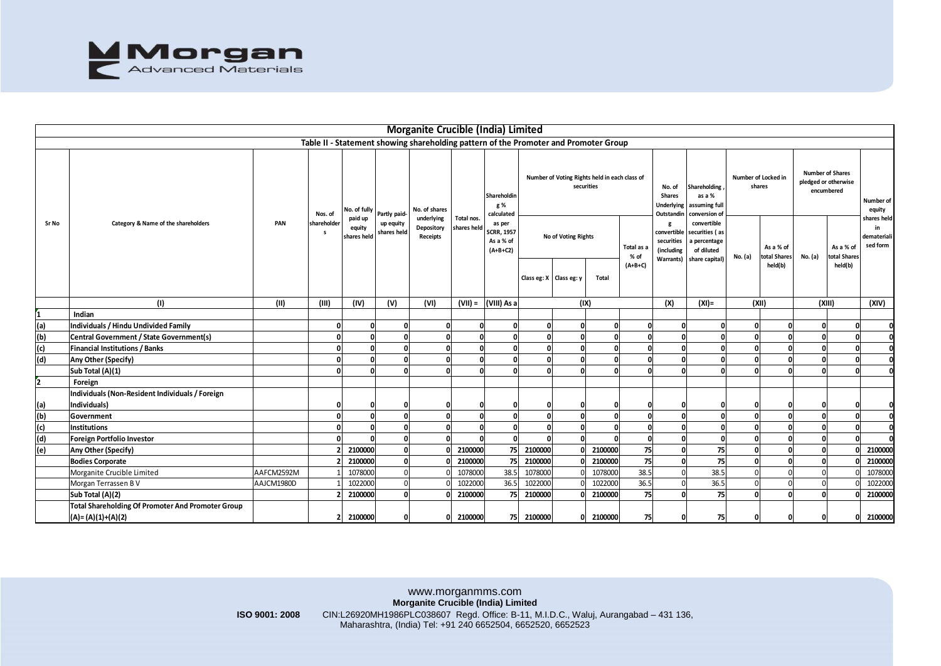

|                                     |                                                   |                |                             |                         |                          | <b>Morganite Crucible (India) Limited</b>                                                                                                                                                                      |                           |                                                                                            |                                                             |                                                  |          |                                 |                                                            |                                                                               |                               |                                      |                                                               |                                     |                                    |
|-------------------------------------|---------------------------------------------------|----------------|-----------------------------|-------------------------|--------------------------|----------------------------------------------------------------------------------------------------------------------------------------------------------------------------------------------------------------|---------------------------|--------------------------------------------------------------------------------------------|-------------------------------------------------------------|--------------------------------------------------|----------|---------------------------------|------------------------------------------------------------|-------------------------------------------------------------------------------|-------------------------------|--------------------------------------|---------------------------------------------------------------|-------------------------------------|------------------------------------|
|                                     |                                                   |                |                             |                         |                          | Table II - Statement showing shareholding pattern of the Promoter and Promoter Group                                                                                                                           |                           |                                                                                            |                                                             |                                                  |          |                                 |                                                            |                                                                               |                               |                                      |                                                               |                                     |                                    |
|                                     | Category & Name of the shareholders               | PAN            | Nos. of                     | No. of fully<br>paid up | Partly paid-             | No. of shares<br>underlying                                                                                                                                                                                    | Total nos.<br>shares held | Shareholdin<br>g %<br>calculated<br>as per<br><b>SCRR, 1957</b><br>As a % of<br>$(A+B+C2)$ | Number of Voting Rights held in each class of<br>securities |                                                  |          |                                 | No. of<br><b>Shares</b><br><b>Underlying</b><br>Outstandin | Shareholding<br>as a %<br>assuming full<br>conversion of                      | Number of Locked in<br>shares |                                      | <b>Number of Shares</b><br>pledged or otherwise<br>encumbered |                                     | Number of<br>equity<br>shares held |
| Sr No                               |                                                   |                | shareholder<br>$\mathsf{s}$ | equity<br>shares held   | up equity<br>shares held | Depository<br>Receipts                                                                                                                                                                                         |                           |                                                                                            |                                                             | No of Voting Rights<br>Class eg: X   Class eg: y | Total    | Total as a<br>% of<br>$(A+B+C)$ | g<br>convertible<br>securities<br>(including<br>Warrants)  | convertible<br>securities (as<br>a percentage<br>of diluted<br>share capital) | No. (a)                       | As a % of<br>total Shares<br>held(b) | No. (a)                                                       | As a % of<br>otal Shares<br>held(b) | in<br>demateriali<br>sed form      |
|                                     | (1)                                               | (II)           | (III)                       | (IV)                    | (V)                      | (VI)                                                                                                                                                                                                           |                           | $(VII) =  (VIII) As a$                                                                     |                                                             | (IX)                                             |          |                                 | (X)                                                        | $(XI) =$                                                                      |                               | (XII)                                |                                                               | (XIII)                              | (XIV)                              |
| 1                                   | Indian                                            |                |                             |                         |                          |                                                                                                                                                                                                                |                           |                                                                                            |                                                             |                                                  |          |                                 |                                                            |                                                                               |                               |                                      |                                                               |                                     |                                    |
|                                     | Individuals / Hindu Undivided Family              |                | $\mathbf{0}$                | $\Omega$                | $\mathbf 0$              | $\mathbf{r}$                                                                                                                                                                                                   | $\Omega$                  | O                                                                                          | $\mathbf 0$                                                 | $\mathbf{0}$                                     | O        | n                               | 0                                                          | $\Omega$                                                                      | O                             | $\mathbf 0$                          | $\mathbf 0$                                                   | $\Omega$                            | $\Omega$                           |
| $\frac{(\mathsf{a})}{(\mathsf{b})}$ | Central Government / State Government(s)          |                | $\Omega$                    |                         | $\Omega$                 |                                                                                                                                                                                                                |                           |                                                                                            | $\Omega$                                                    | $\Omega$                                         | ŋ        |                                 | $\Omega$                                                   |                                                                               |                               | $\Omega$                             | $\Omega$                                                      | $\Omega$                            | ol                                 |
|                                     | <b>Financial Institutions / Banks</b>             |                | $\Omega$                    |                         | $\mathbf{0}$             |                                                                                                                                                                                                                | $\Omega$                  | O                                                                                          | $\mathbf 0$                                                 | $\mathbf 0$                                      | O        |                                 | 0                                                          |                                                                               | 0                             | $\Omega$                             | $\mathbf{0}$                                                  | O                                   | 0                                  |
| $\frac{\text{(c)}}{\text{(d)}}$     | Any Other (Specify)                               |                | $\mathbf{0}$                | n                       | o                        | $\Omega$                                                                                                                                                                                                       | $\Omega$                  | 0                                                                                          | 0                                                           | $\mathbf 0$                                      | $\Omega$ | O                               | $\mathbf{0}$                                               | $\Omega$                                                                      | 0                             | $\mathbf{0}$                         | 0                                                             | $\mathbf{0}$                        | o                                  |
|                                     | Sub Total (A)(1)                                  |                |                             |                         | $\Omega$                 |                                                                                                                                                                                                                |                           |                                                                                            | $\Omega$                                                    | $\Omega$                                         | n        |                                 | $\Omega$                                                   |                                                                               |                               | $\mathbf{a}$                         | $\Omega$                                                      | n                                   | O                                  |
| $\overline{2}$                      | Foreign                                           |                |                             |                         |                          |                                                                                                                                                                                                                |                           |                                                                                            |                                                             |                                                  |          |                                 |                                                            |                                                                               |                               |                                      |                                                               |                                     |                                    |
|                                     | Individuals (Non-Resident Individuals / Foreign   |                |                             |                         |                          |                                                                                                                                                                                                                |                           |                                                                                            |                                                             |                                                  |          |                                 |                                                            |                                                                               |                               |                                      |                                                               |                                     |                                    |
|                                     | Individuals)                                      |                | 0                           |                         | $\mathbf{0}$             |                                                                                                                                                                                                                |                           |                                                                                            | $\mathbf 0$                                                 | 0                                                |          |                                 | 0                                                          |                                                                               | C                             | $\mathbf{0}$                         | 0                                                             | O                                   | 0                                  |
| (a)<br>(b)<br>(c)                   | Government                                        |                | $\Omega$                    |                         | $\mathbf{0}$             |                                                                                                                                                                                                                | $\Omega$                  | O                                                                                          | o                                                           | $\mathbf 0$                                      | $\Omega$ |                                 | 0                                                          |                                                                               | O                             | $\mathbf{0}$                         | $\mathbf{0}$                                                  | $\mathbf{0}$                        | 0                                  |
|                                     | Institutions                                      |                | $\Omega$                    |                         | $\mathbf{0}$             | $\Omega$                                                                                                                                                                                                       | $\Omega$                  | O                                                                                          | $\Omega$                                                    | $\mathbf 0$                                      | $\Omega$ |                                 | $\mathbf{0}$                                               |                                                                               |                               | $\mathbf{0}$                         | $\mathbf{0}$                                                  | $\mathbf{0}$                        | $\Omega$                           |
| (d)                                 | <b>Foreign Portfolio Investor</b>                 |                |                             |                         | $\mathbf{0}$             |                                                                                                                                                                                                                |                           |                                                                                            | n                                                           | $\Omega$                                         |          |                                 | $\Omega$                                                   |                                                                               |                               | $\Omega$                             | $\mathbf 0$                                                   | n                                   |                                    |
| (e)                                 | Any Other (Specify)                               |                |                             | 2100000                 | $\mathbf{0}$             |                                                                                                                                                                                                                | 2100000                   | 75                                                                                         | 2100000                                                     | $\Omega$                                         | 2100000  | 75                              | $\mathbf{0}$                                               | 75                                                                            |                               | $\Omega$                             | $\mathbf{0}$                                                  |                                     | 2100000                            |
|                                     | <b>Bodies Corporate</b>                           |                |                             | 2100000                 | o                        |                                                                                                                                                                                                                | 2100000                   | 75                                                                                         | 2100000                                                     | 0                                                | 2100000  | 75                              | 0                                                          | 75                                                                            | 0                             | $\mathbf 0$                          | $\mathbf{0}$                                                  |                                     | 2100000                            |
|                                     | Morganite Crucible Limited                        | AAFCM2592M     |                             | 1078000                 | $\Omega$                 |                                                                                                                                                                                                                | 1078000                   | 38.5                                                                                       | 1078000                                                     |                                                  | 1078000  | 38.5                            | $\Omega$                                                   | 38.5                                                                          |                               | $\Omega$                             | $\Omega$                                                      |                                     | 107800                             |
|                                     | Morgan Terrassen B V                              | AAJCM1980D     |                             | 1022000                 | $\Omega$                 |                                                                                                                                                                                                                | 1022000                   | 36.5                                                                                       | 1022000                                                     |                                                  | 1022000  | 36.5                            | $\Omega$                                                   | 36.5                                                                          |                               | $\Omega$                             | $\Omega$                                                      |                                     | 102200                             |
|                                     | Sub Total (A)(2)                                  |                |                             | 2100000                 | $\Omega$                 |                                                                                                                                                                                                                | 2100000                   | 75                                                                                         | 2100000                                                     |                                                  | 2100000  | 75                              | $\Omega$                                                   | 75                                                                            |                               | $\Omega$                             | $\Omega$                                                      |                                     | 2100000                            |
|                                     | Total Shareholding Of Promoter And Promoter Group |                |                             |                         |                          |                                                                                                                                                                                                                |                           |                                                                                            |                                                             |                                                  |          |                                 |                                                            |                                                                               |                               |                                      |                                                               |                                     |                                    |
|                                     |                                                   |                |                             |                         |                          |                                                                                                                                                                                                                |                           |                                                                                            |                                                             |                                                  |          |                                 | 0                                                          |                                                                               | $\mathbf{0}$                  |                                      |                                                               | ΩI                                  | 2100000                            |
|                                     | $(A) = (A)(1)+(A)(2)$                             |                |                             | 2100000                 | 0                        |                                                                                                                                                                                                                | 2100000                   | 75                                                                                         | 2100000                                                     | 0                                                | 2100000  | 75                              |                                                            | 75                                                                            |                               | $\mathbf 0$                          | $\Omega$                                                      |                                     |                                    |
|                                     |                                                   | ISO 9001: 2008 |                             |                         |                          | www.morganmms.com<br>Morganite Crucible (India) Limited<br>CIN:L26920MH1986PLC038607 Regd. Office: B-11, M.I.D.C., Waluj, Aurangabad - 431 136,<br>Maharashtra, (India) Tel: +91 240 6652504, 6652520, 6652523 |                           |                                                                                            |                                                             |                                                  |          |                                 |                                                            |                                                                               |                               |                                      |                                                               |                                     |                                    |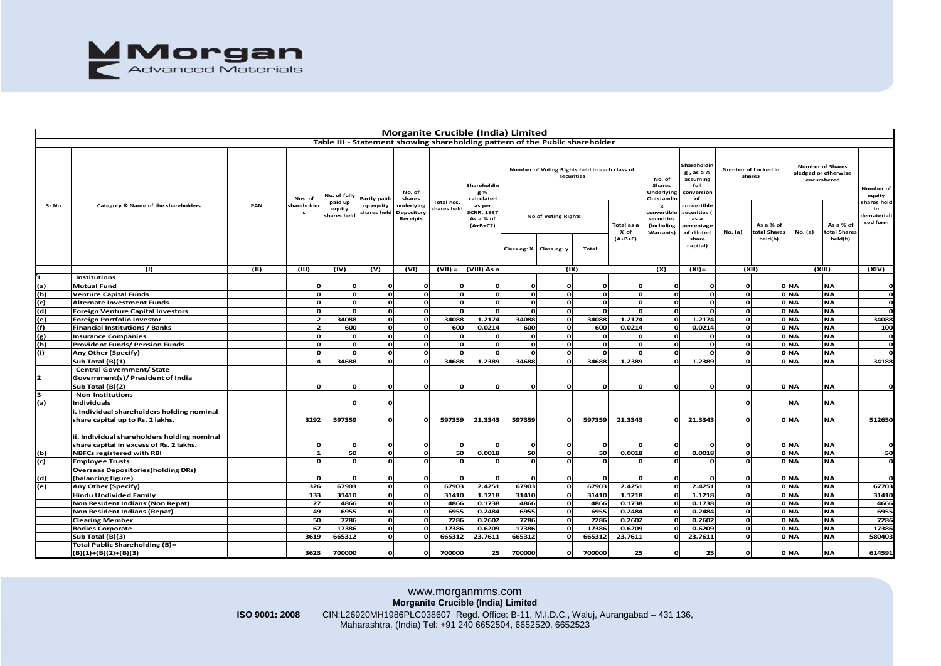

|                                                                                          |                                                                                        |      |                             |                                                  |                                          |                                                          | <b>Morganite Crucible (India) Limited</b> |                                                                                            |             |                                                                                                          |               |                                 |                                                                                                                          |                                                                                                                                                         |                                                                                        |       |                         |                                                                                                       |                                                                    |
|------------------------------------------------------------------------------------------|----------------------------------------------------------------------------------------|------|-----------------------------|--------------------------------------------------|------------------------------------------|----------------------------------------------------------|-------------------------------------------|--------------------------------------------------------------------------------------------|-------------|----------------------------------------------------------------------------------------------------------|---------------|---------------------------------|--------------------------------------------------------------------------------------------------------------------------|---------------------------------------------------------------------------------------------------------------------------------------------------------|----------------------------------------------------------------------------------------|-------|-------------------------|-------------------------------------------------------------------------------------------------------|--------------------------------------------------------------------|
|                                                                                          |                                                                                        |      |                             |                                                  |                                          |                                                          |                                           |                                                                                            |             | Table III - Statement showing shareholding pattern of the Public shareholder                             |               |                                 |                                                                                                                          |                                                                                                                                                         |                                                                                        |       |                         |                                                                                                       |                                                                    |
| Sr No                                                                                    | Category & Name of the shareholders                                                    | PAN  | Nos. of<br>shareholder<br>s | No. of fully<br>paid up<br>equity<br>shares held | Partly paid-<br>up equity<br>shares held | No. of<br>shares<br>underlying<br>Depository<br>Receipts | Total nos.<br>shares helc                 | Shareholdin<br>g %<br>calculated<br>as per<br><b>SCRR, 1957</b><br>As a % of<br>$(A+B+C2)$ | Class eg: X | Number of Voting Rights held in each class of<br>securities<br><b>No of Voting Rights</b><br>Class eg: y | Total         | Total as a<br>% of<br>$(A+B+C)$ | No. of<br><b>Shares</b><br>Underlying<br>Outstandin<br>g<br>convertible<br>securities<br>(including<br><b>Warrants</b> ) | Shareholdir<br>g, as a %<br>assuming<br>full<br>conversion<br>of<br>convertible<br>securities (<br>as a<br>ercentage<br>of diluted<br>share<br>capital) | Number of Locked in<br>shares<br>As a % of<br>otal Shares<br><b>No.</b> (a)<br>held(b) |       | No. (a)                 | <b>Number of Shares</b><br>pledged or otherwise<br>encumbered<br>As a % of<br>total Shares<br>held(b) | Number of<br>equity<br>hares held<br>in<br>demateriali<br>sed form |
|                                                                                          | (1)                                                                                    | (11) | (III)                       | (IV)                                             | (v)                                      | (VI)                                                     | $(VII) =$                                 | (VIII) As a                                                                                |             | (IX)                                                                                                     |               |                                 | (X)                                                                                                                      | $(XI) =$                                                                                                                                                |                                                                                        | (XII) |                         | (XIII)                                                                                                | (XIV)                                                              |
|                                                                                          | <b>Institutions</b>                                                                    |      |                             |                                                  |                                          |                                                          |                                           |                                                                                            |             |                                                                                                          |               |                                 |                                                                                                                          |                                                                                                                                                         |                                                                                        |       |                         |                                                                                                       |                                                                    |
|                                                                                          | Mutual Fund                                                                            |      | $\mathbf{o}$                | <b>r</b>                                         |                                          |                                                          |                                           | o                                                                                          | $\Omega$    | O                                                                                                        | $\Omega$      | $\mathbf{o}$                    | <b>r</b>                                                                                                                 |                                                                                                                                                         | O                                                                                      |       | 0 NA                    | <b>NA</b>                                                                                             | $\Omega$                                                           |
|                                                                                          | <b>Venture Capital Funds</b>                                                           |      | $\mathbf{o}$                |                                                  |                                          |                                                          |                                           | $\Omega$                                                                                   |             | O                                                                                                        | $\Omega$      | $\mathbf{o}$                    |                                                                                                                          |                                                                                                                                                         | o                                                                                      |       | 0 <sub>NA</sub>         | <b>NA</b>                                                                                             |                                                                    |
| $\begin{array}{c} 1 \\ \hline \text{(a)} \\ \text{(b)} \\ \hline \text{(c)} \end{array}$ | <b>Alternate Investment Funds</b>                                                      |      | $\Omega$                    |                                                  |                                          |                                                          |                                           | $\Omega$                                                                                   |             | O                                                                                                        | $\Omega$      | $\Omega$                        |                                                                                                                          |                                                                                                                                                         | O                                                                                      |       | 0 <sub>NA</sub>         | <b>NA</b>                                                                                             |                                                                    |
|                                                                                          | Foreign Venture Capital Investors                                                      |      | $\mathbf{o}$                |                                                  |                                          |                                                          |                                           |                                                                                            |             | $\Omega$                                                                                                 | $\Omega$      | $\Omega$                        |                                                                                                                          |                                                                                                                                                         | O                                                                                      |       | 0 <sub>NA</sub>         | <b>NA</b>                                                                                             |                                                                    |
| <u>(၁၂၀၂၀)</u>                                                                           | Foreign Portfolio Investor                                                             |      | $\overline{2}$              | 34088                                            |                                          |                                                          | 34088                                     | 1.2174                                                                                     | 34088       | $\Omega$                                                                                                 | 34088         | 1.2174                          | <b>C</b>                                                                                                                 | 1.2174                                                                                                                                                  | O                                                                                      |       | 0 <sub>NA</sub>         | <b>NA</b>                                                                                             | 34088                                                              |
|                                                                                          | <b>Financial Institutions / Banks</b>                                                  |      | $\overline{\phantom{a}}$    | 600                                              |                                          |                                                          | 600                                       | 0.0214                                                                                     | 600         | O                                                                                                        | 600           | 0.0214                          | - 6                                                                                                                      | 0.0214                                                                                                                                                  | <sup>n</sup>                                                                           |       | 0 NA                    | <b>NA</b>                                                                                             | 100                                                                |
|                                                                                          | <b>Insurance Companies</b>                                                             |      | $\mathbf{o}$                | <b>r</b>                                         | $\Omega$                                 | C                                                        |                                           | $\Omega$                                                                                   | $\Omega$    | $\Omega$                                                                                                 | $\Omega$      | $\mathbf{o}$                    | <b>r</b>                                                                                                                 |                                                                                                                                                         | C                                                                                      |       | 0 NA                    | <b>NA</b>                                                                                             | O                                                                  |
|                                                                                          | Provident Funds/ Pension Funds                                                         |      | $\Omega$                    |                                                  | $\Omega$                                 |                                                          |                                           | $\Omega$                                                                                   | $\Omega$    | $\Omega$                                                                                                 | $\Omega$      | $\Omega$                        | <b>C</b>                                                                                                                 |                                                                                                                                                         |                                                                                        |       | 0 <sub>NA</sub>         | <b>NA</b>                                                                                             | ol                                                                 |
| (h)<br>(i)                                                                               | Any Other (Specify)                                                                    |      | $\Omega$                    |                                                  | $\Omega$                                 |                                                          |                                           | $\Omega$                                                                                   |             | $\Omega$                                                                                                 | $\Omega$      | $\Omega$                        | - 6                                                                                                                      |                                                                                                                                                         | C                                                                                      |       | 0 NA                    | <b>NA</b>                                                                                             |                                                                    |
|                                                                                          | Sub Total (B)(1)                                                                       |      |                             | 34688                                            |                                          |                                                          | 34688                                     | 1.2389                                                                                     | 34688       | O                                                                                                        | 34688         | 1.2389                          |                                                                                                                          | 1.2389                                                                                                                                                  | O                                                                                      |       | 0 <sub>NA</sub>         | <b>NA</b>                                                                                             | 34188                                                              |
|                                                                                          | <b>Central Government/ State</b><br>Government(s)/ President of India                  |      |                             |                                                  |                                          |                                                          |                                           |                                                                                            |             |                                                                                                          |               |                                 |                                                                                                                          |                                                                                                                                                         |                                                                                        |       |                         |                                                                                                       |                                                                    |
| $\overline{\mathbf{z}}$                                                                  | Sub Total (B)(2)                                                                       |      | $\Omega$                    | $\mathbf{r}$                                     | $\Omega$                                 | O                                                        | $\Omega$                                  | $\Omega$                                                                                   | $\Omega$    | O                                                                                                        | $\Omega$      | $\Omega$                        | $\mathbf{r}$                                                                                                             | $\Omega$                                                                                                                                                | O                                                                                      |       | <b>ONA</b>              | <b>NA</b>                                                                                             |                                                                    |
| 3                                                                                        | <b>Non-Institutions</b>                                                                |      |                             |                                                  |                                          |                                                          |                                           |                                                                                            |             |                                                                                                          |               |                                 |                                                                                                                          |                                                                                                                                                         |                                                                                        |       |                         |                                                                                                       |                                                                    |
| $\frac{1}{2}$                                                                            | Individuals                                                                            |      |                             |                                                  | $\Omega$                                 |                                                          |                                           |                                                                                            |             |                                                                                                          |               |                                 |                                                                                                                          |                                                                                                                                                         |                                                                                        |       | NΑ                      | <b>NA</b>                                                                                             |                                                                    |
|                                                                                          | . Individual shareholders holding nominal                                              |      |                             |                                                  |                                          |                                                          |                                           |                                                                                            |             |                                                                                                          |               |                                 |                                                                                                                          |                                                                                                                                                         |                                                                                        |       |                         |                                                                                                       |                                                                    |
|                                                                                          | share capital up to Rs. 2 lakhs.                                                       |      | 3292                        | 597359                                           | $\Omega$                                 |                                                          | 597359                                    | 21.3343                                                                                    | 597359      |                                                                                                          | 597359        | 21.3343                         | r                                                                                                                        | 21.3343                                                                                                                                                 |                                                                                        |       | 0 NA                    | <b>NA</b>                                                                                             | 512650                                                             |
|                                                                                          | ii. Individual shareholders holding nominal<br>share capital in excess of Rs. 2 lakhs. |      | $\Omega$                    |                                                  |                                          |                                                          |                                           |                                                                                            |             |                                                                                                          |               |                                 |                                                                                                                          |                                                                                                                                                         |                                                                                        |       | 0 NA                    | <b>NA</b>                                                                                             |                                                                    |
|                                                                                          | <b>NBFCs registered with RBI</b>                                                       |      | $\mathbf{1}$                | 50                                               | $\Omega$                                 | $\Omega$                                                 | 50                                        | 0.0018                                                                                     | 50          | ΩI                                                                                                       | <b>50</b>     | 0.0018                          | <b>C</b>                                                                                                                 | 0.0018                                                                                                                                                  | $\Omega$                                                                               |       | 0 NA                    | <b>NA</b>                                                                                             | 50                                                                 |
| (b)<br>(c)                                                                               | <b>Employee Trusts</b>                                                                 |      | $\Omega$                    | - 0                                              | $\Omega$                                 | O                                                        | $\Omega$                                  | $\Omega$                                                                                   | $\Omega$    | ΩI                                                                                                       | $\Omega$      | $\Omega$                        | $\Omega$                                                                                                                 | $\Omega$                                                                                                                                                | οl                                                                                     |       | 0 <sub>NA</sub>         | <b>NA</b>                                                                                             | $\Omega$                                                           |
|                                                                                          | <b>Overseas Depositories (holding DRs)</b>                                             |      |                             |                                                  |                                          |                                                          |                                           |                                                                                            |             |                                                                                                          |               |                                 |                                                                                                                          |                                                                                                                                                         |                                                                                        |       |                         |                                                                                                       |                                                                    |
| (d)                                                                                      | (balancing figure)                                                                     |      | $\Omega$                    |                                                  |                                          |                                                          |                                           |                                                                                            |             | $\Omega$                                                                                                 |               | 2.4251                          |                                                                                                                          |                                                                                                                                                         |                                                                                        |       | 0 NA<br>0 <sub>NA</sub> | <b>NA</b>                                                                                             |                                                                    |
| (e)                                                                                      | Any Other (Specify)                                                                    |      | 326                         | 67903                                            | $\Omega$                                 |                                                          | 67903                                     | 2.4251                                                                                     | 67903       |                                                                                                          | 67903         |                                 |                                                                                                                          | 2.4251                                                                                                                                                  |                                                                                        |       |                         | <b>NA</b>                                                                                             | 67703                                                              |
|                                                                                          | Hindu Undivided Family                                                                 |      | 133                         | 31410                                            |                                          |                                                          | 31410                                     | 1.1218                                                                                     | 31410       |                                                                                                          | 31410         | 1.1218                          |                                                                                                                          | 1.1218                                                                                                                                                  |                                                                                        |       | 0 NA<br>0 <sub>NA</sub> | <b>NA</b>                                                                                             | 31410                                                              |
|                                                                                          | Non Resident Indians (Non Repat)                                                       |      | 27                          | 4866                                             |                                          |                                                          | 4866                                      | 0.1738                                                                                     | 4866        | O                                                                                                        | 4866          | 0.1738                          |                                                                                                                          | 0.1738                                                                                                                                                  |                                                                                        |       |                         | <b>NA</b>                                                                                             | 4666                                                               |
|                                                                                          | Non Resident Indians (Repat)                                                           |      | 49                          | 6955                                             | $\Omega$<br>$\Omega$                     |                                                          | 6955                                      | 0.2484                                                                                     | 6955        | $\Omega$                                                                                                 | 6955          | 0.2484                          |                                                                                                                          | 0.2484                                                                                                                                                  | O<br>O                                                                                 |       | 0 NA                    | <b>NA</b>                                                                                             | 6955                                                               |
|                                                                                          | <b>Clearing Member</b>                                                                 |      | 50<br>67                    | 7286<br>17386                                    | $\Omega$                                 |                                                          | 7286                                      | 0.2602                                                                                     | 7286        | O                                                                                                        | 7286<br>17386 | 0.2602                          |                                                                                                                          | 0.2602<br>0.6209                                                                                                                                        | O                                                                                      |       | 0 NA                    | <b>NA</b><br><b>NA</b>                                                                                | 7286                                                               |
|                                                                                          | <b>Bodies Corporate</b>                                                                |      |                             |                                                  | $\Omega$                                 |                                                          | 17386                                     | 0.6209                                                                                     | 17386       |                                                                                                          |               | 0.6209                          | <b>r</b>                                                                                                                 |                                                                                                                                                         | C                                                                                      |       | 0 NA<br>0 NA            |                                                                                                       | 17386                                                              |
|                                                                                          | Sub Total (B)(3)<br>Total Public Shareholding (B)=                                     |      | 3619                        | 665312                                           |                                          |                                                          | 665312                                    | 23.7611                                                                                    | 665312      |                                                                                                          | 665312        | 23.7611                         |                                                                                                                          | 23.7611                                                                                                                                                 |                                                                                        |       |                         | <b>NA</b>                                                                                             | 580403                                                             |
|                                                                                          | (B)(1)+(B)(2)+(B)(3)                                                                   |      | 3623                        | 700000                                           | $\Omega$                                 | ο                                                        | 700000                                    | 25                                                                                         | 700000      | 0                                                                                                        | 700000        | 25                              | C                                                                                                                        | 25                                                                                                                                                      | O                                                                                      |       | 0 <sub>NA</sub>         | <b>NA</b>                                                                                             | 614591                                                             |